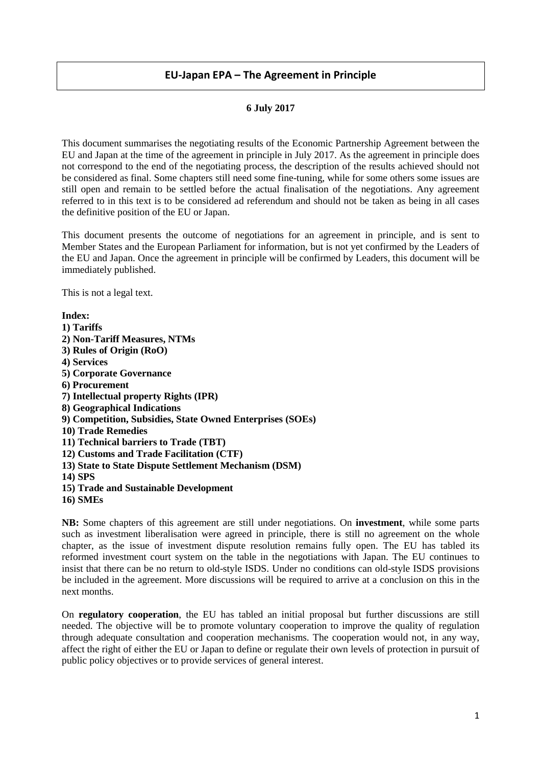# **EU-Japan EPA – The Agreement in Principle**

### **6 July 2017**

This document summarises the negotiating results of the Economic Partnership Agreement between the EU and Japan at the time of the agreement in principle in July 2017. As the agreement in principle does not correspond to the end of the negotiating process, the description of the results achieved should not be considered as final. Some chapters still need some fine-tuning, while for some others some issues are still open and remain to be settled before the actual finalisation of the negotiations. Any agreement referred to in this text is to be considered ad referendum and should not be taken as being in all cases the definitive position of the EU or Japan.

This document presents the outcome of negotiations for an agreement in principle, and is sent to Member States and the European Parliament for information, but is not yet confirmed by the Leaders of the EU and Japan. Once the agreement in principle will be confirmed by Leaders, this document will be immediately published.

This is not a legal text.

**Index: 1) Tariffs 2) Non-Tariff Measures, NTMs 3) Rules of Origin (RoO) 4) Services 5) Corporate Governance 6) Procurement 7) Intellectual property Rights (IPR) 8) Geographical Indications 9) Competition, Subsidies, State Owned Enterprises (SOEs) 10) Trade Remedies 11) Technical barriers to Trade (TBT) 12) Customs and Trade Facilitation (CTF) 13) State to State Dispute Settlement Mechanism (DSM) 14) SPS 15) Trade and Sustainable Development 16) SMEs** 

**NB:** Some chapters of this agreement are still under negotiations. On **investment**, while some parts such as investment liberalisation were agreed in principle, there is still no agreement on the whole chapter, as the issue of investment dispute resolution remains fully open. The EU has tabled its reformed investment court system on the table in the negotiations with Japan. The EU continues to insist that there can be no return to old-style ISDS. Under no conditions can old-style ISDS provisions be included in the agreement. More discussions will be required to arrive at a conclusion on this in the next months.

On **regulatory cooperation**, the EU has tabled an initial proposal but further discussions are still needed. The objective will be to promote voluntary cooperation to improve the quality of regulation through adequate consultation and cooperation mechanisms. The cooperation would not, in any way, affect the right of either the EU or Japan to define or regulate their own levels of protection in pursuit of public policy objectives or to provide services of general interest.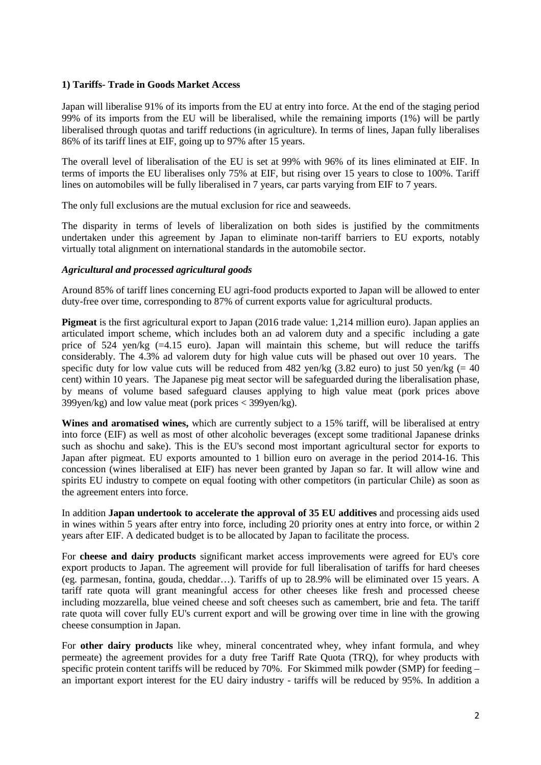## **1) Tariffs- Trade in Goods Market Access**

Japan will liberalise 91% of its imports from the EU at entry into force. At the end of the staging period 99% of its imports from the EU will be liberalised, while the remaining imports (1%) will be partly liberalised through quotas and tariff reductions (in agriculture). In terms of lines, Japan fully liberalises 86% of its tariff lines at EIF, going up to 97% after 15 years.

The overall level of liberalisation of the EU is set at 99% with 96% of its lines eliminated at EIF. In terms of imports the EU liberalises only 75% at EIF, but rising over 15 years to close to 100%. Tariff lines on automobiles will be fully liberalised in 7 years, car parts varying from EIF to 7 years.

The only full exclusions are the mutual exclusion for rice and seaweeds.

The disparity in terms of levels of liberalization on both sides is justified by the commitments undertaken under this agreement by Japan to eliminate non-tariff barriers to EU exports, notably virtually total alignment on international standards in the automobile sector.

#### *Agricultural and processed agricultural goods*

Around 85% of tariff lines concerning EU agri-food products exported to Japan will be allowed to enter duty-free over time, corresponding to 87% of current exports value for agricultural products.

**Pigmeat** is the first agricultural export to Japan (2016 trade value: 1,214 million euro). Japan applies an articulated import scheme, which includes both an ad valorem duty and a specific including a gate price of  $524 \text{ yen/kg}$  (=4.15 euro). Japan will maintain this scheme, but will reduce the tariffs considerably. The 4.3% ad valorem duty for high value cuts will be phased out over 10 years. The specific duty for low value cuts will be reduced from 482 yen/kg  $(3.82 \text{ euro})$  to just 50 yen/kg  $(= 40 \text{ rev})$ cent) within 10 years. The Japanese pig meat sector will be safeguarded during the liberalisation phase, by means of volume based safeguard clauses applying to high value meat (pork prices above 399yen/kg) and low value meat (pork prices < 399yen/kg).

**Wines and aromatised wines,** which are currently subject to a 15% tariff, will be liberalised at entry into force (EIF) as well as most of other alcoholic beverages (except some traditional Japanese drinks such as shochu and sake). This is the EU's second most important agricultural sector for exports to Japan after pigmeat. EU exports amounted to 1 billion euro on average in the period 2014-16. This concession (wines liberalised at EIF) has never been granted by Japan so far. It will allow wine and spirits EU industry to compete on equal footing with other competitors (in particular Chile) as soon as the agreement enters into force.

In addition **Japan undertook to accelerate the approval of 35 EU additives** and processing aids used in wines within 5 years after entry into force, including 20 priority ones at entry into force, or within 2 years after EIF. A dedicated budget is to be allocated by Japan to facilitate the process.

For **cheese and dairy products** significant market access improvements were agreed for EU's core export products to Japan. The agreement will provide for full liberalisation of tariffs for hard cheeses (eg. parmesan, fontina, gouda, cheddar…). Tariffs of up to 28.9% will be eliminated over 15 years. A tariff rate quota will grant meaningful access for other cheeses like fresh and processed cheese including mozzarella, blue veined cheese and soft cheeses such as camembert, brie and feta. The tariff rate quota will cover fully EU's current export and will be growing over time in line with the growing cheese consumption in Japan.

For **other dairy products** like whey, mineral concentrated whey, whey infant formula, and whey permeate) the agreement provides for a duty free Tariff Rate Quota (TRQ), for whey products with specific protein content tariffs will be reduced by 70%. For Skimmed milk powder (SMP) for feeding – an important export interest for the EU dairy industry - tariffs will be reduced by 95%. In addition a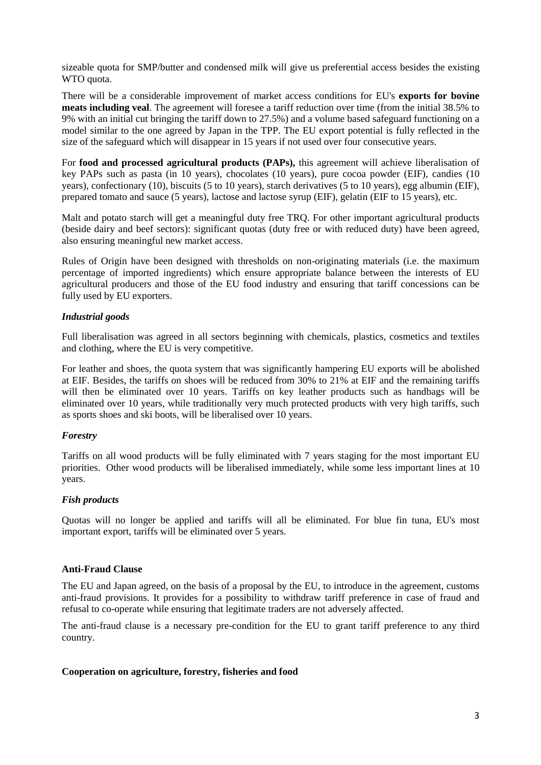sizeable quota for SMP/butter and condensed milk will give us preferential access besides the existing WTO quota.

There will be a considerable improvement of market access conditions for EU's **exports for bovine meats including veal**. The agreement will foresee a tariff reduction over time (from the initial 38.5% to 9% with an initial cut bringing the tariff down to 27.5%) and a volume based safeguard functioning on a model similar to the one agreed by Japan in the TPP. The EU export potential is fully reflected in the size of the safeguard which will disappear in 15 years if not used over four consecutive years.

For **food and processed agricultural products (PAPs),** this agreement will achieve liberalisation of key PAPs such as pasta (in 10 years), chocolates (10 years), pure cocoa powder (EIF), candies (10 years), confectionary (10), biscuits (5 to 10 years), starch derivatives (5 to 10 years), egg albumin (EIF), prepared tomato and sauce (5 years), lactose and lactose syrup (EIF), gelatin (EIF to 15 years), etc.

Malt and potato starch will get a meaningful duty free TRQ. For other important agricultural products (beside dairy and beef sectors): significant quotas (duty free or with reduced duty) have been agreed, also ensuring meaningful new market access.

Rules of Origin have been designed with thresholds on non-originating materials (i.e. the maximum percentage of imported ingredients) which ensure appropriate balance between the interests of EU agricultural producers and those of the EU food industry and ensuring that tariff concessions can be fully used by EU exporters.

## *Industrial goods*

Full liberalisation was agreed in all sectors beginning with chemicals, plastics, cosmetics and textiles and clothing, where the EU is very competitive.

For leather and shoes, the quota system that was significantly hampering EU exports will be abolished at EIF. Besides, the tariffs on shoes will be reduced from 30% to 21% at EIF and the remaining tariffs will then be eliminated over 10 years. Tariffs on key leather products such as handbags will be eliminated over 10 years, while traditionally very much protected products with very high tariffs, such as sports shoes and ski boots, will be liberalised over 10 years.

## *Forestry*

Tariffs on all wood products will be fully eliminated with 7 years staging for the most important EU priorities. Other wood products will be liberalised immediately, while some less important lines at 10 years.

# *Fish products*

Quotas will no longer be applied and tariffs will all be eliminated. For blue fin tuna, EU's most important export, tariffs will be eliminated over 5 years.

## **Anti-Fraud Clause**

The EU and Japan agreed, on the basis of a proposal by the EU, to introduce in the agreement, customs anti-fraud provisions. It provides for a possibility to withdraw tariff preference in case of fraud and refusal to co-operate while ensuring that legitimate traders are not adversely affected.

The anti-fraud clause is a necessary pre-condition for the EU to grant tariff preference to any third country.

## **Cooperation on agriculture, forestry, fisheries and food**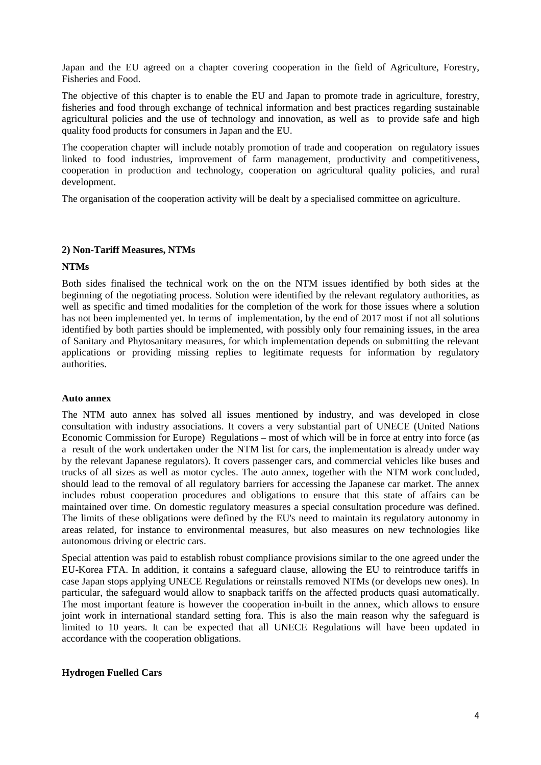Japan and the EU agreed on a chapter covering cooperation in the field of Agriculture, Forestry, Fisheries and Food.

The objective of this chapter is to enable the EU and Japan to promote trade in agriculture, forestry, fisheries and food through exchange of technical information and best practices regarding sustainable agricultural policies and the use of technology and innovation, as well as to provide safe and high quality food products for consumers in Japan and the EU.

The cooperation chapter will include notably promotion of trade and cooperation on regulatory issues linked to food industries, improvement of farm management, productivity and competitiveness, cooperation in production and technology, cooperation on agricultural quality policies, and rural development.

The organisation of the cooperation activity will be dealt by a specialised committee on agriculture.

#### **2) Non-Tariff Measures, NTMs**

#### **NTMs**

Both sides finalised the technical work on the on the NTM issues identified by both sides at the beginning of the negotiating process. Solution were identified by the relevant regulatory authorities, as well as specific and timed modalities for the completion of the work for those issues where a solution has not been implemented yet. In terms of implementation, by the end of 2017 most if not all solutions identified by both parties should be implemented, with possibly only four remaining issues, in the area of Sanitary and Phytosanitary measures, for which implementation depends on submitting the relevant applications or providing missing replies to legitimate requests for information by regulatory authorities.

#### **Auto annex**

The NTM auto annex has solved all issues mentioned by industry, and was developed in close consultation with industry associations. It covers a very substantial part of UNECE (United Nations Economic Commission for Europe) Regulations – most of which will be in force at entry into force (as a result of the work undertaken under the NTM list for cars, the implementation is already under way by the relevant Japanese regulators). It covers passenger cars, and commercial vehicles like buses and trucks of all sizes as well as motor cycles. The auto annex, together with the NTM work concluded, should lead to the removal of all regulatory barriers for accessing the Japanese car market. The annex includes robust cooperation procedures and obligations to ensure that this state of affairs can be maintained over time. On domestic regulatory measures a special consultation procedure was defined. The limits of these obligations were defined by the EU's need to maintain its regulatory autonomy in areas related, for instance to environmental measures, but also measures on new technologies like autonomous driving or electric cars.

Special attention was paid to establish robust compliance provisions similar to the one agreed under the EU-Korea FTA. In addition, it contains a safeguard clause, allowing the EU to reintroduce tariffs in case Japan stops applying UNECE Regulations or reinstalls removed NTMs (or develops new ones). In particular, the safeguard would allow to snapback tariffs on the affected products quasi automatically. The most important feature is however the cooperation in-built in the annex, which allows to ensure joint work in international standard setting fora. This is also the main reason why the safeguard is limited to 10 years. It can be expected that all UNECE Regulations will have been updated in accordance with the cooperation obligations.

## **Hydrogen Fuelled Cars**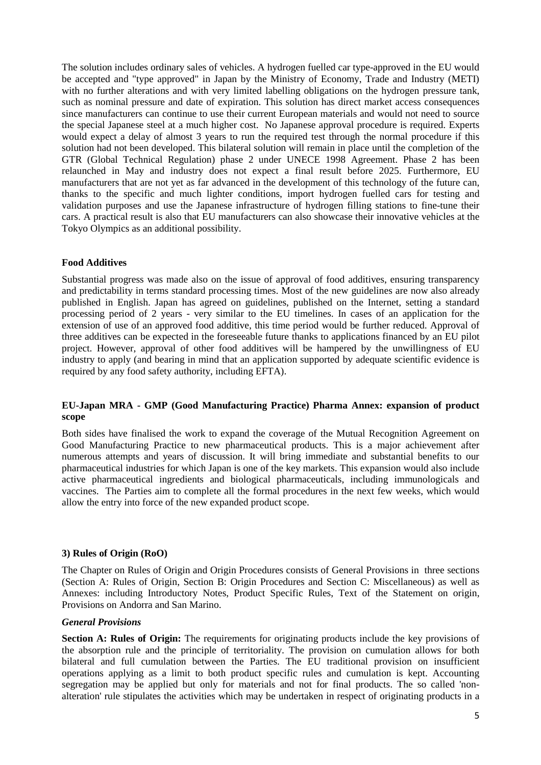The solution includes ordinary sales of vehicles. A hydrogen fuelled car type-approved in the EU would be accepted and "type approved" in Japan by the Ministry of Economy, Trade and Industry (METI) with no further alterations and with very limited labelling obligations on the hydrogen pressure tank, such as nominal pressure and date of expiration. This solution has direct market access consequences since manufacturers can continue to use their current European materials and would not need to source the special Japanese steel at a much higher cost. No Japanese approval procedure is required. Experts would expect a delay of almost 3 years to run the required test through the normal procedure if this solution had not been developed. This bilateral solution will remain in place until the completion of the GTR (Global Technical Regulation) phase 2 under UNECE 1998 Agreement. Phase 2 has been relaunched in May and industry does not expect a final result before 2025. Furthermore, EU manufacturers that are not yet as far advanced in the development of this technology of the future can, thanks to the specific and much lighter conditions, import hydrogen fuelled cars for testing and validation purposes and use the Japanese infrastructure of hydrogen filling stations to fine-tune their cars. A practical result is also that EU manufacturers can also showcase their innovative vehicles at the Tokyo Olympics as an additional possibility.

## **Food Additives**

Substantial progress was made also on the issue of approval of food additives, ensuring transparency and predictability in terms standard processing times. Most of the new guidelines are now also already published in English. Japan has agreed on guidelines, published on the Internet, setting a standard processing period of 2 years - very similar to the EU timelines. In cases of an application for the extension of use of an approved food additive, this time period would be further reduced. Approval of three additives can be expected in the foreseeable future thanks to applications financed by an EU pilot project. However, approval of other food additives will be hampered by the unwillingness of EU industry to apply (and bearing in mind that an application supported by adequate scientific evidence is required by any food safety authority, including EFTA).

## **EU-Japan MRA - GMP (Good Manufacturing Practice) Pharma Annex: expansion of product scope**

Both sides have finalised the work to expand the coverage of the Mutual Recognition Agreement on Good Manufacturing Practice to new pharmaceutical products. This is a major achievement after numerous attempts and years of discussion. It will bring immediate and substantial benefits to our pharmaceutical industries for which Japan is one of the key markets. This expansion would also include active pharmaceutical ingredients and biological pharmaceuticals, including immunologicals and vaccines. The Parties aim to complete all the formal procedures in the next few weeks, which would allow the entry into force of the new expanded product scope.

## **3) Rules of Origin (RoO)**

The Chapter on Rules of Origin and Origin Procedures consists of General Provisions in three sections (Section A: Rules of Origin, Section B: Origin Procedures and Section C: Miscellaneous) as well as Annexes: including Introductory Notes, Product Specific Rules, Text of the Statement on origin, Provisions on Andorra and San Marino.

## *General Provisions*

**Section A: Rules of Origin:** The requirements for originating products include the key provisions of the absorption rule and the principle of territoriality. The provision on cumulation allows for both bilateral and full cumulation between the Parties. The EU traditional provision on insufficient operations applying as a limit to both product specific rules and cumulation is kept. Accounting segregation may be applied but only for materials and not for final products. The so called 'nonalteration' rule stipulates the activities which may be undertaken in respect of originating products in a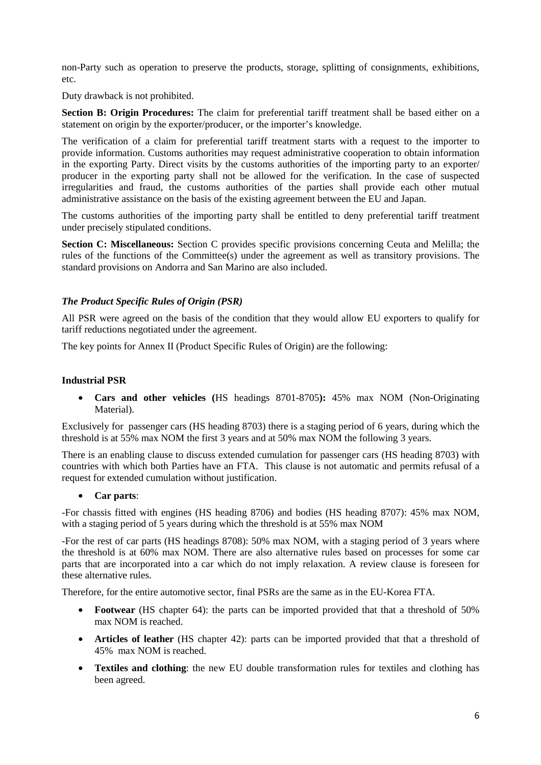non-Party such as operation to preserve the products, storage, splitting of consignments, exhibitions, etc.

Duty drawback is not prohibited.

**Section B: Origin Procedures:** The claim for preferential tariff treatment shall be based either on a statement on origin by the exporter/producer, or the importer's knowledge.

The verification of a claim for preferential tariff treatment starts with a request to the importer to provide information. Customs authorities may request administrative cooperation to obtain information in the exporting Party. Direct visits by the customs authorities of the importing party to an exporter/ producer in the exporting party shall not be allowed for the verification. In the case of suspected irregularities and fraud, the customs authorities of the parties shall provide each other mutual administrative assistance on the basis of the existing agreement between the EU and Japan.

The customs authorities of the importing party shall be entitled to deny preferential tariff treatment under precisely stipulated conditions.

**Section C: Miscellaneous:** Section C provides specific provisions concerning Ceuta and Melilla; the rules of the functions of the Committee(s) under the agreement as well as transitory provisions. The standard provisions on Andorra and San Marino are also included.

# *The Product Specific Rules of Origin (PSR)*

All PSR were agreed on the basis of the condition that they would allow EU exporters to qualify for tariff reductions negotiated under the agreement.

The key points for Annex II (Product Specific Rules of Origin) are the following:

## **Industrial PSR**

• **Cars and other vehicles (**HS headings 8701-8705**):** 45% max NOM (Non-Originating Material).

Exclusively for passenger cars (HS heading 8703) there is a staging period of 6 years, during which the threshold is at 55% max NOM the first 3 years and at 50% max NOM the following 3 years.

There is an enabling clause to discuss extended cumulation for passenger cars (HS heading 8703) with countries with which both Parties have an FTA. This clause is not automatic and permits refusal of a request for extended cumulation without justification.

## • **Car parts**:

-For chassis fitted with engines (HS heading 8706) and bodies (HS heading 8707): 45% max NOM, with a staging period of 5 years during which the threshold is at 55% max NOM

-For the rest of car parts (HS headings 8708): 50% max NOM, with a staging period of 3 years where the threshold is at 60% max NOM. There are also alternative rules based on processes for some car parts that are incorporated into a car which do not imply relaxation. A review clause is foreseen for these alternative rules.

Therefore, for the entire automotive sector, final PSRs are the same as in the EU-Korea FTA.

- **Footwear** (HS chapter 64): the parts can be imported provided that that a threshold of 50% max NOM is reached.
- **Articles of leather** (HS chapter 42): parts can be imported provided that that a threshold of 45% max NOM is reached.
- **Textiles and clothing**: the new EU double transformation rules for textiles and clothing has been agreed.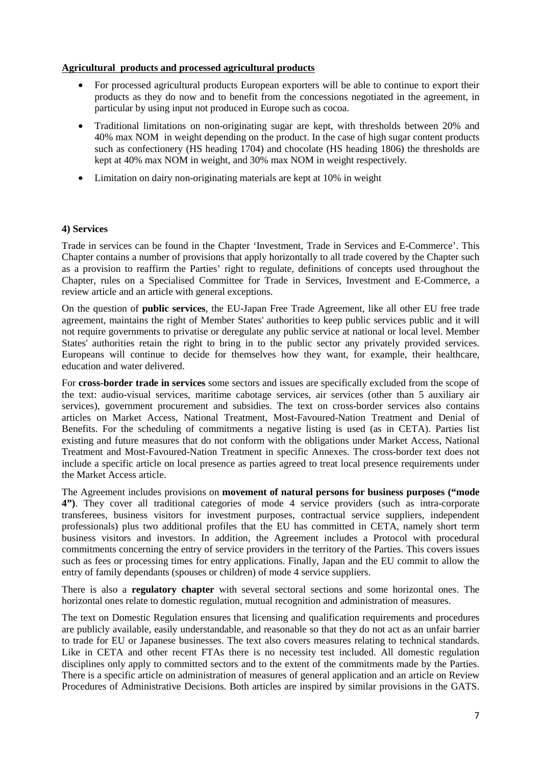## **Agricultural products and processed agricultural products**

- For processed agricultural products European exporters will be able to continue to export their products as they do now and to benefit from the concessions negotiated in the agreement, in particular by using input not produced in Europe such as cocoa.
- Traditional limitations on non-originating sugar are kept, with thresholds between 20% and 40% max NOM in weight depending on the product. In the case of high sugar content products such as confectionery (HS heading 1704) and chocolate (HS heading 1806) the thresholds are kept at 40% max NOM in weight, and 30% max NOM in weight respectively.
- Limitation on dairy non-originating materials are kept at 10% in weight

## **4) Services**

Trade in services can be found in the Chapter 'Investment, Trade in Services and E-Commerce'. This Chapter contains a number of provisions that apply horizontally to all trade covered by the Chapter such as a provision to reaffirm the Parties' right to regulate, definitions of concepts used throughout the Chapter, rules on a Specialised Committee for Trade in Services, Investment and E-Commerce, a review article and an article with general exceptions.

On the question of **public services**, the EU-Japan Free Trade Agreement, like all other EU free trade agreement, maintains the right of Member States' authorities to keep public services public and it will not require governments to privatise or deregulate any public service at national or local level. Member States' authorities retain the right to bring in to the public sector any privately provided services. Europeans will continue to decide for themselves how they want, for example, their healthcare, education and water delivered.

For **cross-border trade in services** some sectors and issues are specifically excluded from the scope of the text: audio-visual services, maritime cabotage services, air services (other than 5 auxiliary air services), government procurement and subsidies. The text on cross-border services also contains articles on Market Access, National Treatment, Most-Favoured-Nation Treatment and Denial of Benefits. For the scheduling of commitments a negative listing is used (as in CETA). Parties list existing and future measures that do not conform with the obligations under Market Access, National Treatment and Most-Favoured-Nation Treatment in specific Annexes. The cross-border text does not include a specific article on local presence as parties agreed to treat local presence requirements under the Market Access article.

The Agreement includes provisions on **movement of natural persons for business purposes ("mode 4")**. They cover all traditional categories of mode 4 service providers (such as intra-corporate transferees, business visitors for investment purposes, contractual service suppliers, independent professionals) plus two additional profiles that the EU has committed in CETA, namely short term business visitors and investors. In addition, the Agreement includes a Protocol with procedural commitments concerning the entry of service providers in the territory of the Parties. This covers issues such as fees or processing times for entry applications. Finally, Japan and the EU commit to allow the entry of family dependants (spouses or children) of mode 4 service suppliers.

There is also a **regulatory chapter** with several sectoral sections and some horizontal ones. The horizontal ones relate to domestic regulation, mutual recognition and administration of measures.

The text on Domestic Regulation ensures that licensing and qualification requirements and procedures are publicly available, easily understandable, and reasonable so that they do not act as an unfair barrier to trade for EU or Japanese businesses. The text also covers measures relating to technical standards. Like in CETA and other recent FTAs there is no necessity test included. All domestic regulation disciplines only apply to committed sectors and to the extent of the commitments made by the Parties. There is a specific article on administration of measures of general application and an article on Review Procedures of Administrative Decisions. Both articles are inspired by similar provisions in the GATS.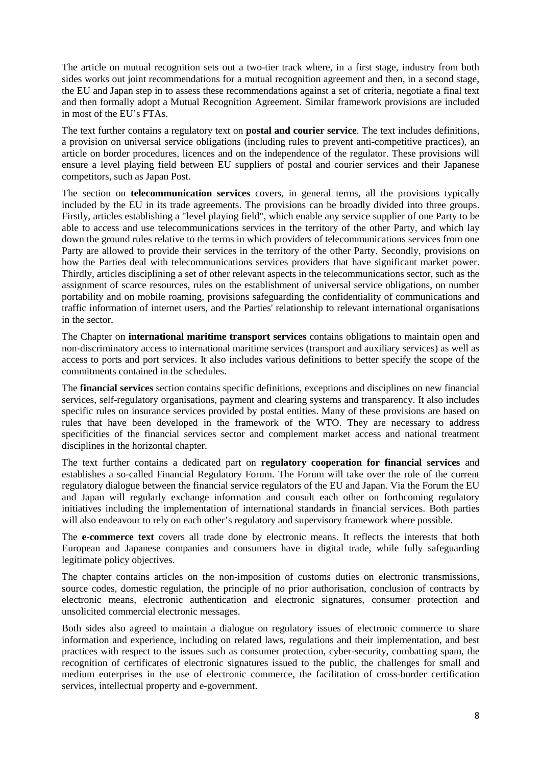The article on mutual recognition sets out a two-tier track where, in a first stage, industry from both sides works out joint recommendations for a mutual recognition agreement and then, in a second stage, the EU and Japan step in to assess these recommendations against a set of criteria, negotiate a final text and then formally adopt a Mutual Recognition Agreement. Similar framework provisions are included in most of the EU's FTAs.

The text further contains a regulatory text on **postal and courier service**. The text includes definitions, a provision on universal service obligations (including rules to prevent anti-competitive practices), an article on border procedures, licences and on the independence of the regulator. These provisions will ensure a level playing field between EU suppliers of postal and courier services and their Japanese competitors, such as Japan Post.

The section on **telecommunication services** covers, in general terms, all the provisions typically included by the EU in its trade agreements. The provisions can be broadly divided into three groups. Firstly, articles establishing a "level playing field", which enable any service supplier of one Party to be able to access and use telecommunications services in the territory of the other Party, and which lay down the ground rules relative to the terms in which providers of telecommunications services from one Party are allowed to provide their services in the territory of the other Party. Secondly, provisions on how the Parties deal with telecommunications services providers that have significant market power. Thirdly, articles disciplining a set of other relevant aspects in the telecommunications sector, such as the assignment of scarce resources, rules on the establishment of universal service obligations, on number portability and on mobile roaming, provisions safeguarding the confidentiality of communications and traffic information of internet users, and the Parties' relationship to relevant international organisations in the sector.

The Chapter on **international maritime transport services** contains obligations to maintain open and non-discriminatory access to international maritime services (transport and auxiliary services) as well as access to ports and port services. It also includes various definitions to better specify the scope of the commitments contained in the schedules.

The **financial services** section contains specific definitions, exceptions and disciplines on new financial services, self-regulatory organisations, payment and clearing systems and transparency. It also includes specific rules on insurance services provided by postal entities. Many of these provisions are based on rules that have been developed in the framework of the WTO. They are necessary to address specificities of the financial services sector and complement market access and national treatment disciplines in the horizontal chapter.

The text further contains a dedicated part on **regulatory cooperation for financial services** and establishes a so-called Financial Regulatory Forum. The Forum will take over the role of the current regulatory dialogue between the financial service regulators of the EU and Japan. Via the Forum the EU and Japan will regularly exchange information and consult each other on forthcoming regulatory initiatives including the implementation of international standards in financial services. Both parties will also endeavour to rely on each other's regulatory and supervisory framework where possible.

The **e-commerce text** covers all trade done by electronic means. It reflects the interests that both European and Japanese companies and consumers have in digital trade, while fully safeguarding legitimate policy objectives.

The chapter contains articles on the non-imposition of customs duties on electronic transmissions, source codes, domestic regulation, the principle of no prior authorisation, conclusion of contracts by electronic means, electronic authentication and electronic signatures, consumer protection and unsolicited commercial electronic messages.

Both sides also agreed to maintain a dialogue on regulatory issues of electronic commerce to share information and experience, including on related laws, regulations and their implementation, and best practices with respect to the issues such as consumer protection, cyber-security, combatting spam, the recognition of certificates of electronic signatures issued to the public, the challenges for small and medium enterprises in the use of electronic commerce, the facilitation of cross-border certification services, intellectual property and e-government.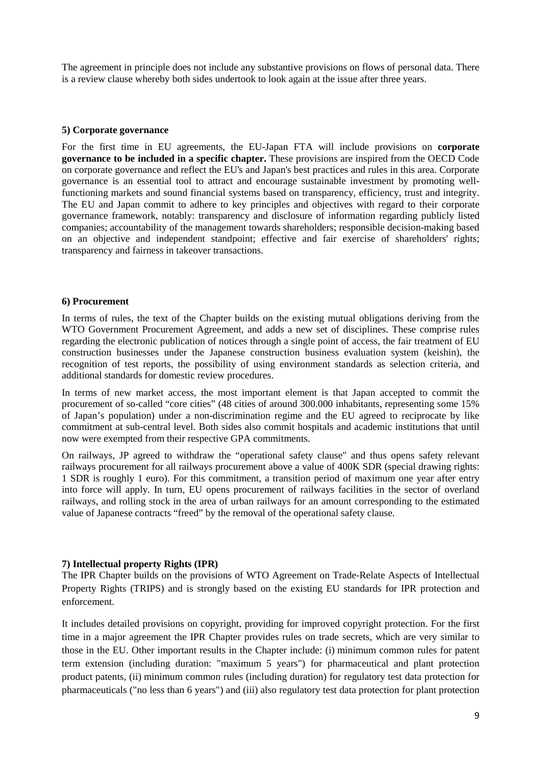The agreement in principle does not include any substantive provisions on flows of personal data. There is a review clause whereby both sides undertook to look again at the issue after three years.

## **5) Corporate governance**

For the first time in EU agreements, the EU-Japan FTA will include provisions on **corporate governance to be included in a specific chapter.** These provisions are inspired from the OECD Code on corporate governance and reflect the EU's and Japan's best practices and rules in this area. Corporate governance is an essential tool to attract and encourage sustainable investment by promoting wellfunctioning markets and sound financial systems based on transparency, efficiency, trust and integrity. The EU and Japan commit to adhere to key principles and objectives with regard to their corporate governance framework, notably: transparency and disclosure of information regarding publicly listed companies; accountability of the management towards shareholders; responsible decision-making based on an objective and independent standpoint; effective and fair exercise of shareholders' rights; transparency and fairness in takeover transactions.

#### **6) Procurement**

In terms of rules, the text of the Chapter builds on the existing mutual obligations deriving from the WTO Government Procurement Agreement, and adds a new set of disciplines. These comprise rules regarding the electronic publication of notices through a single point of access, the fair treatment of EU construction businesses under the Japanese construction business evaluation system (keishin), the recognition of test reports, the possibility of using environment standards as selection criteria, and additional standards for domestic review procedures.

In terms of new market access, the most important element is that Japan accepted to commit the procurement of so-called "core cities" (48 cities of around 300.000 inhabitants, representing some 15% of Japan's population) under a non-discrimination regime and the EU agreed to reciprocate by like commitment at sub-central level. Both sides also commit hospitals and academic institutions that until now were exempted from their respective GPA commitments.

On railways, JP agreed to withdraw the "operational safety clause" and thus opens safety relevant railways procurement for all railways procurement above a value of 400K SDR (special drawing rights: 1 SDR is roughly 1 euro). For this commitment, a transition period of maximum one year after entry into force will apply. In turn, EU opens procurement of railways facilities in the sector of overland railways, and rolling stock in the area of urban railways for an amount corresponding to the estimated value of Japanese contracts "freed" by the removal of the operational safety clause.

## **7) Intellectual property Rights (IPR)**

The IPR Chapter builds on the provisions of WTO Agreement on Trade-Relate Aspects of Intellectual Property Rights (TRIPS) and is strongly based on the existing EU standards for IPR protection and enforcement.

It includes detailed provisions on copyright, providing for improved copyright protection. For the first time in a major agreement the IPR Chapter provides rules on trade secrets, which are very similar to those in the EU. Other important results in the Chapter include: (i) minimum common rules for patent term extension (including duration: "maximum 5 years") for pharmaceutical and plant protection product patents, (ii) minimum common rules (including duration) for regulatory test data protection for pharmaceuticals ("no less than 6 years") and (iii) also regulatory test data protection for plant protection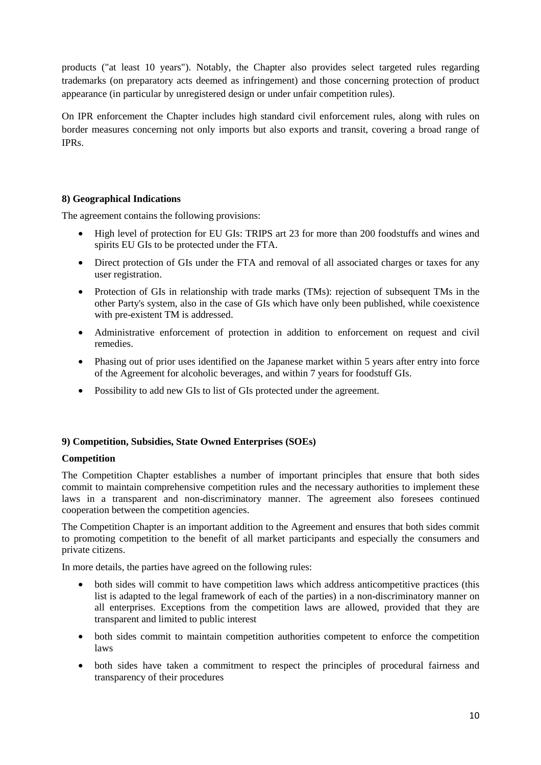products ("at least 10 years"). Notably, the Chapter also provides select targeted rules regarding trademarks (on preparatory acts deemed as infringement) and those concerning protection of product appearance (in particular by unregistered design or under unfair competition rules).

On IPR enforcement the Chapter includes high standard civil enforcement rules, along with rules on border measures concerning not only imports but also exports and transit, covering a broad range of IPRs.

# **8) Geographical Indications**

The agreement contains the following provisions:

- High level of protection for EU GIs: TRIPS art 23 for more than 200 foodstuffs and wines and spirits EU GIs to be protected under the FTA.
- Direct protection of GIs under the FTA and removal of all associated charges or taxes for any user registration.
- Protection of GIs in relationship with trade marks (TMs): rejection of subsequent TMs in the other Party's system, also in the case of GIs which have only been published, while coexistence with pre-existent TM is addressed.
- Administrative enforcement of protection in addition to enforcement on request and civil remedies.
- Phasing out of prior uses identified on the Japanese market within 5 years after entry into force of the Agreement for alcoholic beverages, and within 7 years for foodstuff GIs.
- Possibility to add new GIs to list of GIs protected under the agreement.

# **9) Competition, Subsidies, State Owned Enterprises (SOEs)**

# **Competition**

The Competition Chapter establishes a number of important principles that ensure that both sides commit to maintain comprehensive competition rules and the necessary authorities to implement these laws in a transparent and non-discriminatory manner. The agreement also foresees continued cooperation between the competition agencies.

The Competition Chapter is an important addition to the Agreement and ensures that both sides commit to promoting competition to the benefit of all market participants and especially the consumers and private citizens.

In more details, the parties have agreed on the following rules:

- both sides will commit to have competition laws which address anticompetitive practices (this list is adapted to the legal framework of each of the parties) in a non-discriminatory manner on all enterprises. Exceptions from the competition laws are allowed, provided that they are transparent and limited to public interest
- both sides commit to maintain competition authorities competent to enforce the competition laws
- both sides have taken a commitment to respect the principles of procedural fairness and transparency of their procedures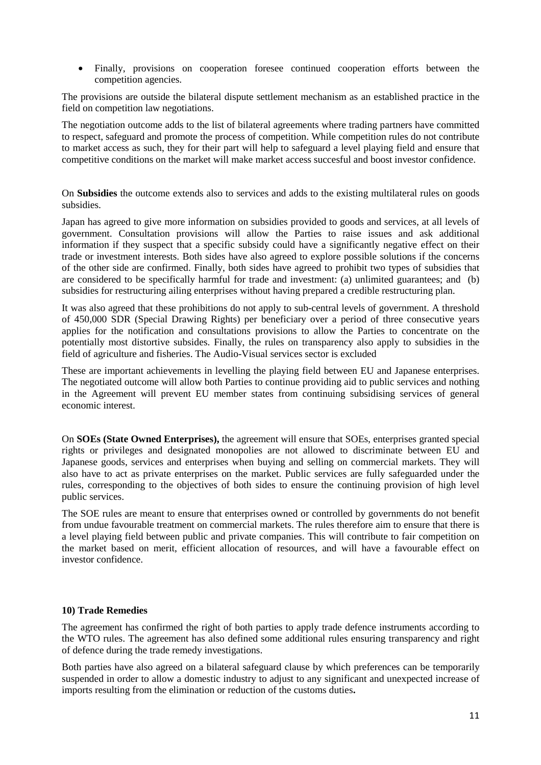• Finally, provisions on cooperation foresee continued cooperation efforts between the competition agencies.

The provisions are outside the bilateral dispute settlement mechanism as an established practice in the field on competition law negotiations.

The negotiation outcome adds to the list of bilateral agreements where trading partners have committed to respect, safeguard and promote the process of competition. While competition rules do not contribute to market access as such, they for their part will help to safeguard a level playing field and ensure that competitive conditions on the market will make market access succesful and boost investor confidence.

On **Subsidies** the outcome extends also to services and adds to the existing multilateral rules on goods subsidies.

Japan has agreed to give more information on subsidies provided to goods and services, at all levels of government. Consultation provisions will allow the Parties to raise issues and ask additional information if they suspect that a specific subsidy could have a significantly negative effect on their trade or investment interests. Both sides have also agreed to explore possible solutions if the concerns of the other side are confirmed. Finally, both sides have agreed to prohibit two types of subsidies that are considered to be specifically harmful for trade and investment: (a) unlimited guarantees; and (b) subsidies for restructuring ailing enterprises without having prepared a credible restructuring plan.

It was also agreed that these prohibitions do not apply to sub-central levels of government. A threshold of 450,000 SDR (Special Drawing Rights) per beneficiary over a period of three consecutive years applies for the notification and consultations provisions to allow the Parties to concentrate on the potentially most distortive subsides. Finally, the rules on transparency also apply to subsidies in the field of agriculture and fisheries. The Audio-Visual services sector is excluded

These are important achievements in levelling the playing field between EU and Japanese enterprises. The negotiated outcome will allow both Parties to continue providing aid to public services and nothing in the Agreement will prevent EU member states from continuing subsidising services of general economic interest.

On **SOEs (State Owned Enterprises),** the agreement will ensure that SOEs, enterprises granted special rights or privileges and designated monopolies are not allowed to discriminate between EU and Japanese goods, services and enterprises when buying and selling on commercial markets. They will also have to act as private enterprises on the market. Public services are fully safeguarded under the rules, corresponding to the objectives of both sides to ensure the continuing provision of high level public services.

The SOE rules are meant to ensure that enterprises owned or controlled by governments do not benefit from undue favourable treatment on commercial markets. The rules therefore aim to ensure that there is a level playing field between public and private companies. This will contribute to fair competition on the market based on merit, efficient allocation of resources, and will have a favourable effect on investor confidence.

## **10) Trade Remedies**

The agreement has confirmed the right of both parties to apply trade defence instruments according to the WTO rules. The agreement has also defined some additional rules ensuring transparency and right of defence during the trade remedy investigations.

Both parties have also agreed on a bilateral safeguard clause by which preferences can be temporarily suspended in order to allow a domestic industry to adjust to any significant and unexpected increase of imports resulting from the elimination or reduction of the customs duties**.**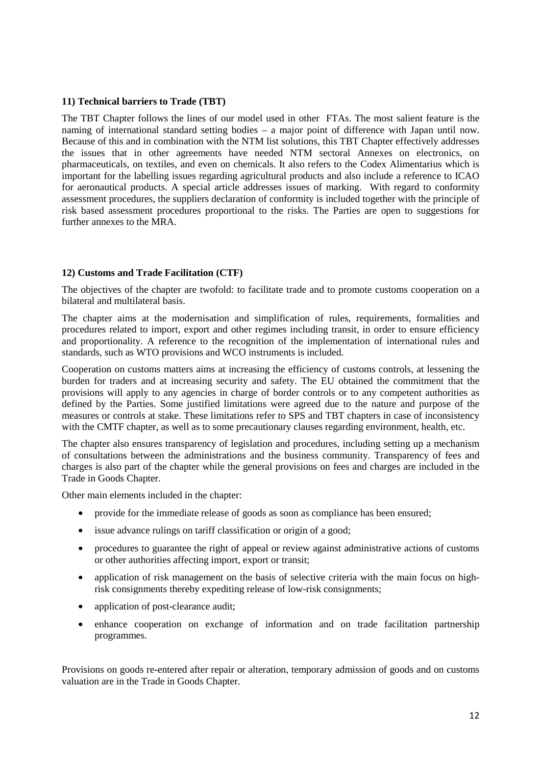### **11) Technical barriers to Trade (TBT)**

The TBT Chapter follows the lines of our model used in other FTAs. The most salient feature is the naming of international standard setting bodies – a major point of difference with Japan until now. Because of this and in combination with the NTM list solutions, this TBT Chapter effectively addresses the issues that in other agreements have needed NTM sectoral Annexes on electronics, on pharmaceuticals, on textiles, and even on chemicals. It also refers to the Codex Alimentarius which is important for the labelling issues regarding agricultural products and also include a reference to ICAO for aeronautical products. A special article addresses issues of marking. With regard to conformity assessment procedures, the suppliers declaration of conformity is included together with the principle of risk based assessment procedures proportional to the risks. The Parties are open to suggestions for further annexes to the MRA.

## **12) Customs and Trade Facilitation (CTF)**

The objectives of the chapter are twofold: to facilitate trade and to promote customs cooperation on a bilateral and multilateral basis.

The chapter aims at the modernisation and simplification of rules, requirements, formalities and procedures related to import, export and other regimes including transit, in order to ensure efficiency and proportionality. A reference to the recognition of the implementation of international rules and standards, such as WTO provisions and WCO instruments is included.

Cooperation on customs matters aims at increasing the efficiency of customs controls, at lessening the burden for traders and at increasing security and safety. The EU obtained the commitment that the provisions will apply to any agencies in charge of border controls or to any competent authorities as defined by the Parties. Some justified limitations were agreed due to the nature and purpose of the measures or controls at stake. These limitations refer to SPS and TBT chapters in case of inconsistency with the CMTF chapter, as well as to some precautionary clauses regarding environment, health, etc.

The chapter also ensures transparency of legislation and procedures, including setting up a mechanism of consultations between the administrations and the business community. Transparency of fees and charges is also part of the chapter while the general provisions on fees and charges are included in the Trade in Goods Chapter.

Other main elements included in the chapter:

- provide for the immediate release of goods as soon as compliance has been ensured;
- issue advance rulings on tariff classification or origin of a good;
- procedures to guarantee the right of appeal or review against administrative actions of customs or other authorities affecting import, export or transit;
- application of risk management on the basis of selective criteria with the main focus on highrisk consignments thereby expediting release of low-risk consignments;
- application of post-clearance audit;
- enhance cooperation on exchange of information and on trade facilitation partnership programmes.

Provisions on goods re-entered after repair or alteration, temporary admission of goods and on customs valuation are in the Trade in Goods Chapter.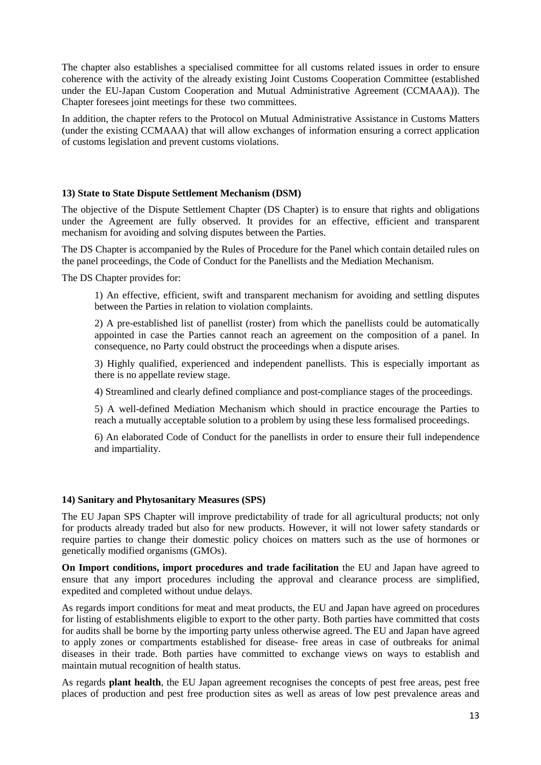The chapter also establishes a specialised committee for all customs related issues in order to ensure coherence with the activity of the already existing Joint Customs Cooperation Committee (established under the EU-Japan Custom Cooperation and Mutual Administrative Agreement (CCMAAA)). The Chapter foresees joint meetings for these two committees.

In addition, the chapter refers to the Protocol on Mutual Administrative Assistance in Customs Matters (under the existing CCMAAA) that will allow exchanges of information ensuring a correct application of customs legislation and prevent customs violations.

## **13) State to State Dispute Settlement Mechanism (DSM)**

The objective of the Dispute Settlement Chapter (DS Chapter) is to ensure that rights and obligations under the Agreement are fully observed. It provides for an effective, efficient and transparent mechanism for avoiding and solving disputes between the Parties.

The DS Chapter is accompanied by the Rules of Procedure for the Panel which contain detailed rules on the panel proceedings, the Code of Conduct for the Panellists and the Mediation Mechanism.

The DS Chapter provides for:

1) An effective, efficient, swift and transparent mechanism for avoiding and settling disputes between the Parties in relation to violation complaints.

2) A pre-established list of panellist (roster) from which the panellists could be automatically appointed in case the Parties cannot reach an agreement on the composition of a panel. In consequence, no Party could obstruct the proceedings when a dispute arises.

3) Highly qualified, experienced and independent panellists. This is especially important as there is no appellate review stage.

4) Streamlined and clearly defined compliance and post-compliance stages of the proceedings.

5) A well-defined Mediation Mechanism which should in practice encourage the Parties to reach a mutually acceptable solution to a problem by using these less formalised proceedings.

6) An elaborated Code of Conduct for the panellists in order to ensure their full independence and impartiality.

# **14) Sanitary and Phytosanitary Measures (SPS)**

The EU Japan SPS Chapter will improve predictability of trade for all agricultural products; not only for products already traded but also for new products. However, it will not lower safety standards or require parties to change their domestic policy choices on matters such as the use of hormones or genetically modified organisms (GMOs).

**On Import conditions, import procedures and trade facilitation** the EU and Japan have agreed to ensure that any import procedures including the approval and clearance process are simplified, expedited and completed without undue delays.

As regards import conditions for meat and meat products, the EU and Japan have agreed on procedures for listing of establishments eligible to export to the other party. Both parties have committed that costs for audits shall be borne by the importing party unless otherwise agreed. The EU and Japan have agreed to apply zones or compartments established for disease- free areas in case of outbreaks for animal diseases in their trade. Both parties have committed to exchange views on ways to establish and maintain mutual recognition of health status.

As regards **plant health**, the EU Japan agreement recognises the concepts of pest free areas, pest free places of production and pest free production sites as well as areas of low pest prevalence areas and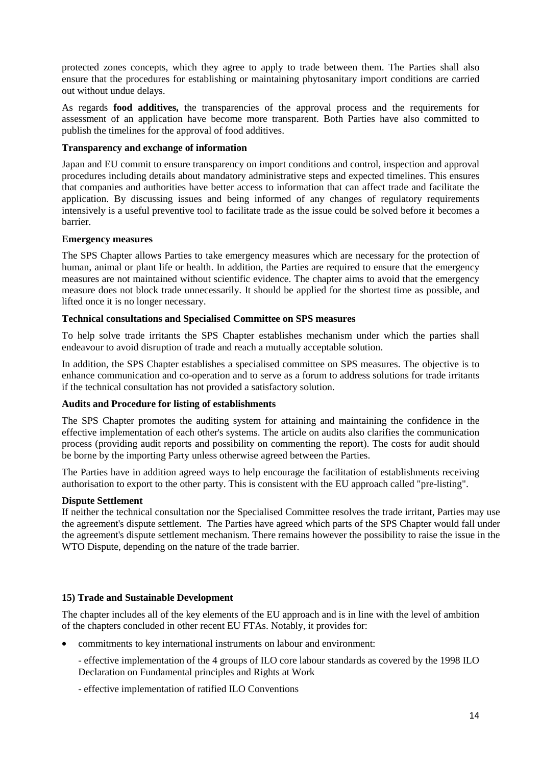protected zones concepts, which they agree to apply to trade between them. The Parties shall also ensure that the procedures for establishing or maintaining phytosanitary import conditions are carried out without undue delays.

As regards **food additives,** the transparencies of the approval process and the requirements for assessment of an application have become more transparent. Both Parties have also committed to publish the timelines for the approval of food additives.

## **Transparency and exchange of information**

Japan and EU commit to ensure transparency on import conditions and control, inspection and approval procedures including details about mandatory administrative steps and expected timelines. This ensures that companies and authorities have better access to information that can affect trade and facilitate the application. By discussing issues and being informed of any changes of regulatory requirements intensively is a useful preventive tool to facilitate trade as the issue could be solved before it becomes a barrier.

## **Emergency measures**

The SPS Chapter allows Parties to take emergency measures which are necessary for the protection of human, animal or plant life or health. In addition, the Parties are required to ensure that the emergency measures are not maintained without scientific evidence. The chapter aims to avoid that the emergency measure does not block trade unnecessarily. It should be applied for the shortest time as possible, and lifted once it is no longer necessary.

## **Technical consultations and Specialised Committee on SPS measures**

To help solve trade irritants the SPS Chapter establishes mechanism under which the parties shall endeavour to avoid disruption of trade and reach a mutually acceptable solution.

In addition, the SPS Chapter establishes a specialised committee on SPS measures. The objective is to enhance communication and co-operation and to serve as a forum to address solutions for trade irritants if the technical consultation has not provided a satisfactory solution.

## **Audits and Procedure for listing of establishments**

The SPS Chapter promotes the auditing system for attaining and maintaining the confidence in the effective implementation of each other's systems. The article on audits also clarifies the communication process (providing audit reports and possibility on commenting the report). The costs for audit should be borne by the importing Party unless otherwise agreed between the Parties.

The Parties have in addition agreed ways to help encourage the facilitation of establishments receiving authorisation to export to the other party. This is consistent with the EU approach called "pre-listing".

## **Dispute Settlement**

If neither the technical consultation nor the Specialised Committee resolves the trade irritant, Parties may use the agreement's dispute settlement. The Parties have agreed which parts of the SPS Chapter would fall under the agreement's dispute settlement mechanism. There remains however the possibility to raise the issue in the WTO Dispute, depending on the nature of the trade barrier.

## **15) Trade and Sustainable Development**

The chapter includes all of the key elements of the EU approach and is in line with the level of ambition of the chapters concluded in other recent EU FTAs. Notably, it provides for:

- commitments to key international instruments on labour and environment:
	- effective implementation of the 4 groups of ILO core labour standards as covered by the 1998 ILO Declaration on Fundamental principles and Rights at Work
	- effective implementation of ratified ILO Conventions